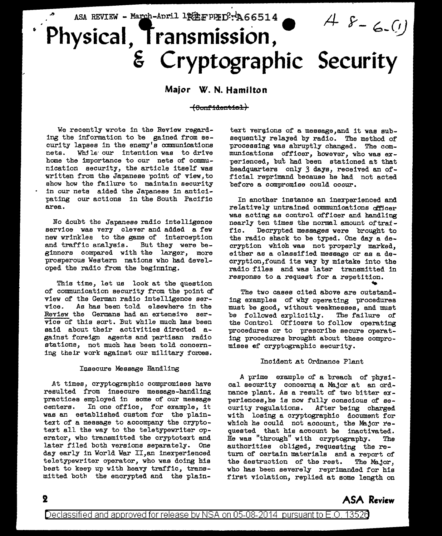## ASA REVIEW - March-April 1PEE PPID: 466514  $48 - 6. (1)$ Physical, Transmission, **& Cryptographic Security**

## **Major W. N. Hamilton**

**(eunf'id:en'l!ie:i)** 

We recently wrote in the Review regarding the information to be gained from aecurity lapses in the enemy's communications nets. While our intention was to drive home the importance to our nets of communication security, the article itself was written from the Japanese point of view,to show how the failure to maintain security in our nets aided the Japanese in anticipating our actions in the South Pacific area.

No doubt the Japanese radio intelligence service was very clever and added a few new wrinkles to the game of interception<br>and traffic analysis. But they were beand traffic analysis. ginners compared with the larger, more prosperous Western nations who had developed the radio from the beginning.

This time, let us look at the question of communication security from the point of view of the German radio intelligence ser-<br>vice. As has been told elsewhere in the As has been told elsewhere in the Review the Germana had an extensive service of this sort. But while much has been said about their activities directed against foreign agents and partisan radio stations, not much has been told concerning their work against our military forces.

### Insecure Message Handling

At times, cryptographic compromises have resulted from insecure message-handling practices employed in some of our message centers. In one office, for example, it was an established custom for the plaintext of a message to accompany the cryptotext all the way to the teletypewriter operator, who transmitted the cryptotext and later filed both versions separately. One day early in World War II,an inexperienced teletypewriter operator, who was doing his best to keep up with heavy traffic, transmitted both the encrypted and the plain-

text vergions of a message, and it was subsequently relayed by radio. The method of processing was abruptly changed. The communications officer, however, who was *ex*perienced, but had been stationed at that headquarters only 3 days, received an official reprimand because he had not acted before a compromise could occur.

In another instance an inexperienced and relatively untrained communications officer was acting as control officer and handling nearly ten times the normal amount oftraf-<br>fic. Decrypted messages were brought to Decrypted messages were brought to the radio shack to be typed. One day a decryption which was not properly marked, either as a classified message or as a decryption,found its way by mistake into the radio files and was later transmitted in response to a request for a repetition.<br>The two cases cited above are outstand-

ing examples of why operating procedures must be good, without weaknesses, and must be followed explicitly. The failure of the Control Officers to follow operating procedures or to prescribe secure operating procedures brought about these compromises of cryptographic security.

## Incident at Ordnance Plant

A prime example *of* a breach of physical security concerns a Major at an ordnance plant. As a result of two bitter experiences,he is now fully conscious of security regulations. After being charged with losing a cryptographic document for which he could not account, the Major requested that his account be inactivated. He was "through" with cryptography. The authorities obliged, requesting the return of certain materials and a report of the destruction of the rest. The Major, who has been severely reprimanded for his first violation, replied at some length on

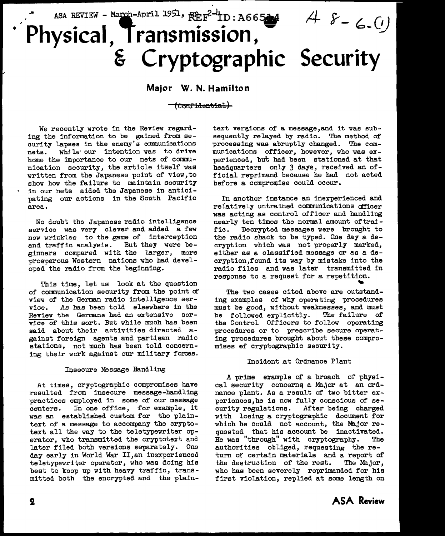# ASA REVIEW - March-April 1951,  $REF^{2-l}ID: A665M$  $48 - 6.0$ Physical, Transmission, <sup>~</sup>**Cryptographic Security**

## **Major W. N. Hamilton**

## (Confidential)

We recently wrote in the Review regarding the information to be gained from security lapses in the enemy's communications nets. Whjle· our intention was to drive home the importance to our nets of communication security, the article itself was written from the Japanese point of view,to show how the failure to maintain security in our nets aided the Japanese in anticipating our actions in the South Pacific area.

No doubt the Japanese radio intelligence service was very clever and added a few new wrinkles to the game of interception and traffic analysis. But they were beginners compared with the larger, more prosperous Western nations who had developed the radio from the beginning.

Thie time, let us look at the question of communication security from the point af' view of the German radio intelligence service. As has been told elsewhere in the Review the Germane had an extensive service of this sort. But while much has been said about their activities directed against foreign agents and partisan radio stations, not much has been told concerning their work against our military forces.

### Insecure Message Handling

At times, cryptographic compromises have resulted from insecure message-handling practices employed in some of our message centers. In one office, for example, it was an established custom for the plaintext of a message to accompany the cryptotext all the way to the teletypewriter operator, who transmitted the cryptotext and later filed both versions separately. One day early in World War II,an inexperienced teletypewriter operator, who was doing hie beet to keep up with heavy traffic, transmitted both the encrypted and the plain-

text vergions of a message, and it was subsequently relayed by radio. The method of processing was abruptly changed. The communications officer, however, who was experienced, but had been stationed at that headquarters only 3 days, received an official reprimand because he bad not acted before a compromise could occur.

In another instance an inexperienced and relatively untrained communications af'ficer was acting as control officer and handling nearly ten times the normal amount oftraffic. Decrypted messages were brought to the radio shack to be typed. One day a decryption which was not properly marked, either as a classified message or as a decryption,found its way by mistake into the radio files and was later transmitted in response to a request for a repetition.

The two cases cited above are outstanding examples of why operating procedures must be good, without weaknesses, and must be followed explicitly. The failure of the Control Officers to follow operating procedures or to prescribe secure operating procedures brought about these compromises ef cryptographic security.

### Incident at Ordnance Plant

A prime example of a breach of physical security concerns a Major at an ordnance plant. As a result of two bitter experiences, he is now fully conscious of se-<br>curity regulations. After being charged After being charged with losing a cryptographic document for which he could not account, the Major requested that his account be inactivated.<br>He was "through" with cryptography. The He was "through" with cryptography. authorities obliged, requesting the return of certain materials and a report of the destruotion of the rest. The Major, who has been severely reprimanded for his first violation, replied at some length on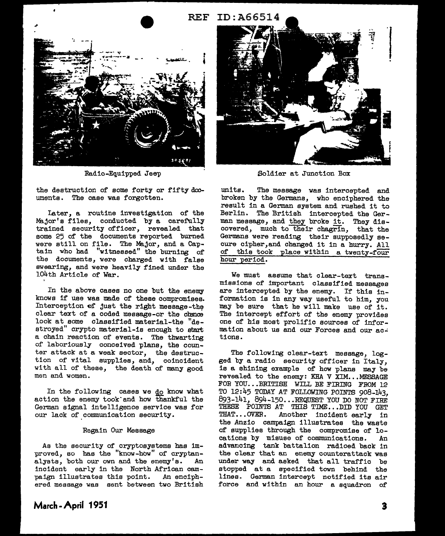## **REF ID: A66514**



Radio-Equipped Jeep

the destruction of some forty or fifty documents. The case was forgotten.

Iater, a routine investigation of the Major's files, conducted by a carefully trained security officer, revealed that some 25 of the documents reported burned were still on file. The Major, and a Captain who had "witnessed" the burning of the documents, were charged with false swearing, and were heavily fined under the 104th Article of War.

In the above cases no one but the enemy knows if use was made of these compromises. Interception of just the right message-the clear text of a coded message-or the chance look at some classified material-the "destroyed" crypto material-is enough to start a chain reaction of events. The thwarting of laboriously conceived plans, the counter attack at a weak sector, the destruction of vital supplies, and, coincident with all of these, the death of many good men and women.

In the following cases we do know what action the enemy took"and how thankful the German signal intelligence service was for our lack of communication security.

#### Regain Our Message

As the security of cryptoayatema has improved, so has the "know-how" of cryptanalysts, both our own and the enemy's. An incident early in the North African campaign illustrates this point. An enciphered message was sent between two British



Soldier at Junction Box

units. The message was intercepted and broken by the Germana, who enciphered the result in a German system and rushed it to Berlin. The British intercepted the German message, and they broke it. They discovered, much to their chagrin, that the Germans were reading their supposedly secure cipher,and changed it in a hurry. All of this took place within a twenty-four hour period.

We must assume that clear-text transmissions of important classified messages are intercepted by the enemy. If this information is in any way useful to him, you may be sure that he will make use of it. The intercept effort of the enemy provides one of his moat prolific sources of information about us and our Forces and our actiona.

The following clear-text message, logged by a radio security officer in Italy, is a shining example of how plans may be revealed to the enemy: KHA V XIM...MESSAGE FOR YOU...BRITISH WILL BE FIRING FROM 12 TO 12: 45 TODAY AT FOLLOWING POINTS 908-143, 893-141, 894-150... REQUEST YOU DO NOT FIRE THESE POINTS AT THIS TIME...DID YOU GET<br>THAT...OVER. Another incident early in Another incident early in the Anzio campaign illustrates the waste of supplies through the compromise of locations by misuse of communications. An advancing tank battalion radioed back in the clear that an enemy counterattack was under way and asked that all traffic be stopped at a specified town behind the lines. German intercept notified its air force and within an hour a squadron of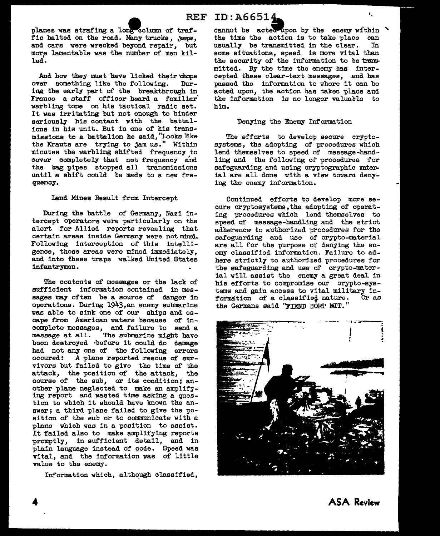REF ID: $\text{A66514}$ .

planes was strafing a long column of traffic halted on the road. Many trucks, jeeps, and cars were wrecked beyond repair, but more lamentable was the number of men killed.

And how they must have licked their chops<br>ver something like the following. Durover something like the following. ing the early part of the breakthrough in France a staff officer heard a familiar' warbling tone on his tactical radio set. It was irritating but not enough to hinder seriously his contact with the battalions in his unit. But in one of his transmissions to a battalion he said, "Looks like the Krauts are trying to jam us." Within minutes the warbling shifted frequency to cover completely that net frequency and the bag pipes stopped all transmissions until a shift could be made to a new frequency.

## Land Mines Result from Intercept

During the battle of Germany, Nazi intercept operators were particularly on the alert for Allied reports revealing that certain areas inside Germany were not mind. Following interception of this intelligence, those areas were mined immediately, and into these traps walked United States infantrymen.

The contents of messages or the lack of sufficient information contained in messages may often be a source of danger in aperations. During 1943,an enemy submarine was able to sink one of our ships and escape from American waters because of incomplete messages, and failure to send a message at all. The submarine might have been destroyed before it could do damage had not any one of the following errors occured: A plane reported rescue of survivors but failed to give the time of the attack, the position of the attack, the course of the sub, or its condition; another plane neglected to make an amplifying report and wasted time asking a question to which it should have known the answer; a third plane failed to give the position of the sub or to communicate with a plane which was in a position to assist. It failed also to make amplifying reports promptly, in sufficient detail, and in plain language instead of code. Speed was vital, and the information was of little value to the enemy.

Information which, although classified,

cannot be acted upon by the enemy within  $"$ the time the action is to take place can<br>usually be transmitted in the clear. In usually be transmitted in the clear. some situations, speed is more vital than the security of the information to be trammitted. By the time the enemy bas intercepted these clear-text messages, and has passed the information to where it can be acted upon, the action has taken place and the information is no longer valuable to him.

### Denying the Enemy Information

The efforts to develop secure cryptosystems, the adopting of procedures which lend themselves to speed of message-handling and the following of procedures for safeguarding and using cryptographic material are all done with a view toward denying the enemy information.

Continued efforts to develop more secure cryptosystems,the adopting of operating procedures which lend themselves to speed of message-handling and the strict adherence to authorized procedures for the safeguarding and use of crypto-material are all for the purpose of denying the enemy classified information. Failure to adhere strictly to authorized procedures for the safeguarding and use of crypto-material will assist the enemy a great deal in his efforts to compromise our crypto-systems and gain access to vital military in-<br>formation of a classified nature. Or as formation of a classified nature. the Germans said ''FIEND HORT MIT."



**ASA Review**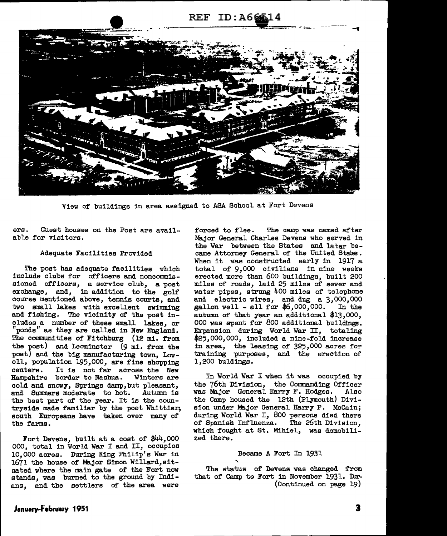## REF ID:A66



View of buildings in area assigned to ASA School at Fort Devens

ers. Guest houses on the Post are available for visitors.

#### Adequate Facilities Provided

The post has adequate facilities which include clubs for officers and noncommissioned officers, a service club, a post exchange, and, in addition to the golf course mentioned above, tennis courts, and two small lakes with excellent swimming and fishing. The vicinity of the post includes a number of these small lakes, or "ponds" as they are called in New England. The communities of Fitchburg (12 mi. from the post) and Leominster (9 mi. from the post) and the big manufacturing town, Lowell, population 195,000, are fine shopping<br>centers. It is not far across the New It is not far across the New<br>border to Nashua. Winters are Hampshire border to Nashua. cold and snowy, Springs damp, but pleasant, and Summers moderate to hot. Autumn is the beat part of the year. It is the countryside made familiar by the poet Whittier; south Europeans have taken over many of the farms.

Fort Devens, built at a cost of \$44,000 000, total in World War I and II, occupies 10,000 acres. During King Philip's War in 1671 the house of Major Simon Willard,situated where the main gate of the Fort now stands, was burned to the ground by Indians, and the settlers of the area were

forced to flee. The camp was named after Major General Charles Devens who served in the War between the States and latar became Attorney General of the United States. When it was constructed early in 1917 a total of 9,000 civilians in nine weeks erected more than 600 buildings, built 200 miles of roads, laid 25 miles of sewer and water pipes, strung 400 miles of telephone and electric wires, and dug a 3,000,000 gallon well - all for  $$6,000,000$ . In the autumn of that year an additional \$13,000, 000 was spent for 800 additional buildings. Expansion during World War II, totaling \$25,000,000, included a nine-fold increase in area, the leasing of 325,000 acres for training purposes, and the erection of 1,200 buldings.

In World War I when it was occupied by the 76th Division, the Commanding Officer was Major General Harry F. Hodges. the Camp housed the  $12th$  (Plymouth) Division under Major General Harry P. McCain; during World War I, 800 persons died there of Spanish Influenza. The 26th Division, which fought at St. Mihiel, was demobilized there.

## Became A Fort In 1931

The status of Devens was changed from that of Camp to Fort in November 1931. Dur-(Continued on page 19)